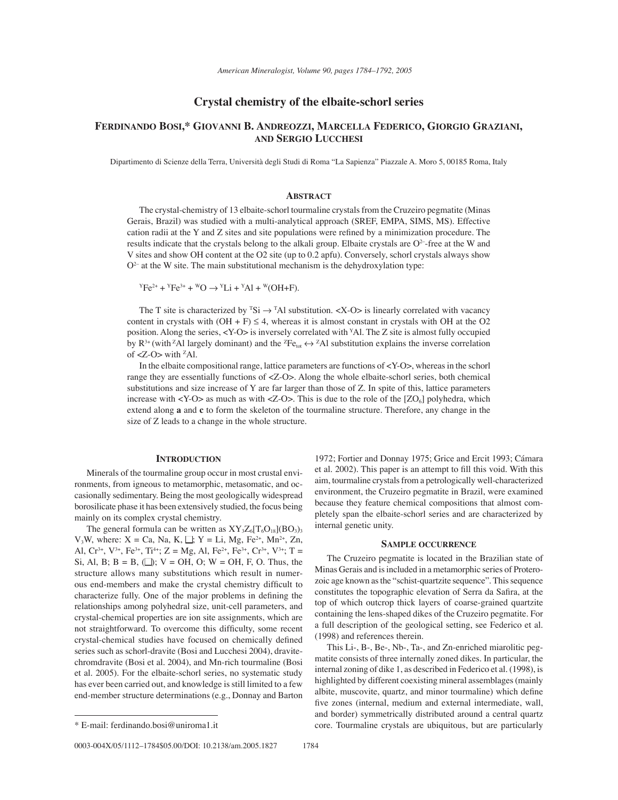# **Crystal chemistry of the elbaite-schorl series**

# **FERDINANDO BOSI,\* GIOVANNI B. ANDREOZZI, MARCELLA FEDERICO, GIORGIO GRAZIANI, AND SERGIO LUCCHESI**

Dipartimento di Scienze della Terra, Università degli Studi di Roma "La Sapienza" Piazzale A. Moro 5, 00185 Roma, Italy

## **ABSTRACT**

The crystal-chemistry of 13 elbaite-schorl tourmaline crystals from the Cruzeiro pegmatite (Minas Gerais, Brazil) was studied with a multi-analytical approach (SREF, EMPA, SIMS, MS). Effective cation radii at the Y and Z sites and site populations were refined by a minimization procedure. The results indicate that the crystals belong to the alkali group. Elbaite crystals are  $O<sup>2</sup>$ -free at the W and V sites and show OH content at the O2 site (up to 0.2 apfu). Conversely, schorl crystals always show  $O<sup>2</sup>$  at the W site. The main substitutional mechanism is the dehydroxylation type:

 $YFe^{2+} + YFe^{3+} + WO \rightarrow YLi + YAl + W(OH+F).$ 

The T site is characterized by  ${}^{T}Si \rightarrow {}^{T}Al$  substitution. <X-O> is linearly correlated with vacancy content in crystals with  $(OH + F) \leq 4$ , whereas it is almost constant in crystals with OH at the O2 position. Along the series, <Y-O> is inversely correlated with YAl. The Z site is almost fully occupied by  $R^{3+}$  (with <sup>z</sup>Al largely dominant) and the <sup>z</sup>Fe<sub>tot</sub>  $\leftrightarrow$  <sup>z</sup>Al substitution explains the inverse correlation of  $Z$ -O $>$  with <sup>z</sup>Al.

In the elbaite compositional range, lattice parameters are functions of <Y-O>, whereas in the schorl range they are essentially functions of <Z-O>. Along the whole elbaite-schorl series, both chemical substitutions and size increase of Y are far larger than those of Z. In spite of this, lattice parameters increase with  $\langle Y-O \rangle$  as much as with  $\langle Z-O \rangle$ . This is due to the role of the  $[ZO_6]$  polyhedra, which extend along **a** and **c** to form the skeleton of the tourmaline structure. Therefore, any change in the size of Z leads to a change in the whole structure.

### **INTRODUCTION**

Minerals of the tourmaline group occur in most crustal environments, from igneous to metamorphic, metasomatic, and occasionally sedimentary. Being the most geologically widespread borosilicate phase it has been extensively studied, the focus being mainly on its complex crystal chemistry.

The general formula can be written as  $XY_3Z_6[T_6O_{18}](BO_3)$ <sub>3</sub>  $V_3W$ , where:  $X = Ca$ , Na, K,  $\Box$ ; Y = Li, Mg, Fe<sup>2+</sup>, Mn<sup>2+</sup>, Zn, Al,  $Cr^{3+}$ ,  $V^{3+}$ ,  $Fe^{3+}$ ,  $Ti^{4+}$ ;  $Z = Mg$ , Al,  $Fe^{2+}$ ,  $Fe^{3+}$ ,  $Cr^{3+}$ ,  $V^{3+}$ ;  $T =$ Si, Al, B; B = B,  $\Box$ ); V = OH, O; W = OH, F, O. Thus, the structure allows many substitutions which result in numerous end-members and make the crystal chemistry difficult to characterize fully. One of the major problems in defining the relationships among polyhedral size, unit-cell parameters, and crystal-chemical properties are ion site assignments, which are not straightforward. To overcome this difficulty, some recent crystal-chemical studies have focused on chemically defined series such as schorl-dravite (Bosi and Lucchesi 2004), dravitechromdravite (Bosi et al. 2004), and Mn-rich tourmaline (Bosi et al. 2005). For the elbaite-schorl series, no systematic study has ever been carried out, and knowledge is still limited to a few end-member structure determinations (e.g., Donnay and Barton

1972; Fortier and Donnay 1975; Grice and Ercit 1993; Cámara et al. 2002). This paper is an attempt to fill this void. With this aim, tourmaline crystals from a petrologically well-characterized environment, the Cruzeiro pegmatite in Brazil, were examined because they feature chemical compositions that almost completely span the elbaite-schorl series and are characterized by internal genetic unity.

### **SAMPLE OCCURRENCE**

The Cruzeiro pegmatite is located in the Brazilian state of Minas Gerais and is included in a metamorphic series of Proterozoic age known as the "schist-quartzite sequence". This sequence constitutes the topographic elevation of Serra da Safira, at the top of which outcrop thick layers of coarse-grained quartzite containing the lens-shaped dikes of the Cruzeiro pegmatite. For a full description of the geological setting, see Federico et al. (1998) and references therein.

This Li-, B-, Be-, Nb-, Ta-, and Zn-enriched miarolitic pegmatite consists of three internally zoned dikes. In particular, the internal zoning of dike 1, as described in Federico et al. (1998), is highlighted by different coexisting mineral assemblages (mainly albite, muscovite, quartz, and minor tourmaline) which define five zones (internal, medium and external intermediate, wall, and border) symmetrically distributed around a central quartz \* E-mail: ferdinando.bosi@uniroma1.it core. Tourmaline crystals are ubiquitous, but are particularly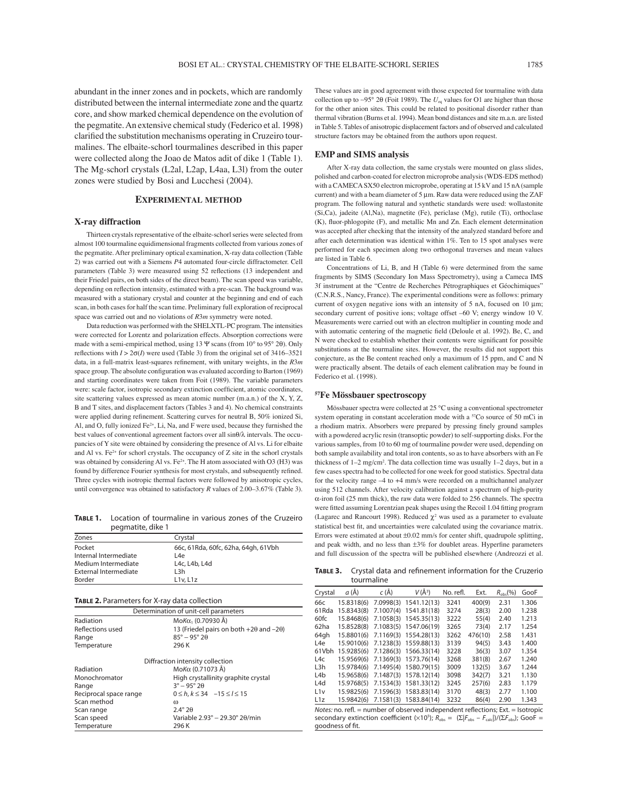abundant in the inner zones and in pockets, which are randomly distributed between the internal intermediate zone and the quartz core, and show marked chemical dependence on the evolution of the pegmatite. An extensive chemical study (Federico et al. 1998) clarified the substitution mechanisms operating in Cruzeiro tourmalines. The elbaite-schorl tourmalines described in this paper were collected along the Joao de Matos adit of dike 1 (Table 1). The Mg-schorl crystals (L2al, L2ap, L4aa, L3l) from the outer zones were studied by Bosi and Lucchesi (2004).

## **EXPERIMENTAL METHOD**

### **X-ray diffraction**

Thirteen crystals representative of the elbaite-schorl series were selected from almost 100 tourmaline equidimensional fragments collected from various zones of the pegmatite. After preliminary optical examination, X-ray data collection (Table 2) was carried out with a Siemens *P*4 automated four-circle diffractometer. Cell parameters (Table 3) were measured using 52 reflections (13 independent and their Friedel pairs, on both sides of the direct beam). The scan speed was variable, depending on reflection intensity, estimated with a pre-scan. The background was measured with a stationary crystal and counter at the beginning and end of each scan, in both cases for half the scan time. Preliminary full exploration of reciprocal space was carried out and no violations of *R*3*m* symmetry were noted.

Data reduction was performed with the SHELXTL-PC program. The intensities were corrected for Lorentz and polarization effects. Absorption corrections were made with a semi-empirical method, using 13 Ψ scans (from 10° to 95° 2θ). Only reflections with  $I > 2\sigma(I)$  were used (Table 3) from the original set of 3416–3521 data, in a full-matrix least-squares refinement, with unitary weights, in the  $R3m$ space group. The absolute configuration was evaluated according to Barton (1969) and starting coordinates were taken from Foit (1989). The variable parameters were: scale factor, isotropic secondary extinction coefficient, atomic coordinates, site scattering values expressed as mean atomic number (m.a.n.) of the X, Y, Z, B and T sites, and displacement factors (Tables 3 and 4). No chemical constraints were applied during refinement. Scattering curves for neutral B, 50% ionized Si, Al, and O, fully ionized Fe<sup>2+</sup>, Li, Na, and F were used, because they furnished the best values of conventional agreement factors over all sinθ/λ intervals. The occupancies of Y site were obtained by considering the presence of Al vs. Li for elbaite and Al vs.  $Fe<sup>2+</sup>$  for schorl crystals. The occupancy of Z site in the schorl crystals was obtained by considering Al vs.  $Fe^{2+}$ . The H atom associated with O3 (H3) was found by difference Fourier synthesis for most crystals, and subsequently refined. Three cycles with isotropic thermal factors were followed by anisotropic cycles, until convergence was obtained to satisfactory  $R$  values of 2.00–3.67% (Table 3).

**TABLE 1.** Location of tourmaline in various zones of the Cruzeiro pegmatite, dike 1

| Zones                 | Crystal                             |
|-----------------------|-------------------------------------|
| Pocket                | 66c, 61Rda, 60fc, 62ha, 64gh, 61Vbh |
| Internal Intermediate | L4e                                 |
| Medium Intermediate   | L4c, L4b, L4d                       |
| External Intermediate | L3h                                 |
| Border                | L1v. L1z                            |

#### **TABLE 2.** Parameters for X-ray data collection

|                        | Determination of unit-cell parameters                 |
|------------------------|-------------------------------------------------------|
| Radiation              | MoΚα <sub>1</sub> (0.70930 Å)                         |
| Reflections used       | 13 (Friedel pairs on both $+2\theta$ and $-2\theta$ ) |
| Range                  | $85^{\circ} - 95^{\circ} 20$                          |
| Temperature            | 296 K                                                 |
|                        | Diffraction intensity collection                      |
| Radiation              | Μο Κα (0.71073 Å)                                     |
| Monochromator          | High crystallinity graphite crystal                   |
| Range                  | $3^{\circ} - 95^{\circ} 2\theta$                      |
| Reciprocal space range | $0 \le h, k \le 34 -15 \le l \le 15$                  |
| Scan method            | $\omega$                                              |
| Scan range             | $2.4^\circ 2\theta$                                   |
| Scan speed             | Variable 2.93° - 29.30° 20/min                        |
| Temperature            | 296 K                                                 |

These values are in good agreement with those expected for tourmaline with data collection up to ~95° 2 $\theta$  (Foit 1989). The *U*<sub>n</sub> values for O1 are higher than those for the other anion sites. This could be related to positional disorder rather than thermal vibration (Burns et al. 1994). Mean bond distances and site m.a.n. are listed in Table 5. Tables of anisotropic displacement factors and of observed and calculated structure factors may be obtained from the authors upon request.

#### **EMP and SIMS analysis**

After X-ray data collection, the same crystals were mounted on glass slides, polished and carbon-coated for electron microprobe analysis (WDS-EDS method) with a CAMECA SX50 electron microprobe, operating at 15 kV and 15 nA (sample current) and with a beam diameter of 5 μm. Raw data were reduced using the ZAF program. The following natural and synthetic standards were used: wollastonite (Si,Ca), jadeite (Al,Na), magnetite (Fe), periclase (Mg), rutile (Ti), orthoclase  $(K)$ , fluor-phlogopite  $(F)$ , and metallic Mn and Zn. Each element determination was accepted after checking that the intensity of the analyzed standard before and after each determination was identical within 1%. Ten to 15 spot analyses were performed for each specimen along two orthogonal traverses and mean values are listed in Table 6.

Concentrations of Li, B, and H (Table 6) were determined from the same fragments by SIMS (Secondary Ion Mass Spectrometry), using a Cameca IMS 3f instrument at the "Centre de Recherches Pétrographiques et Géochimiques" (C.N.R.S., Nancy, France). The experimental conditions were as follows: primary current of oxygen negative ions with an intensity of 5 nA, focused on 10 um; secondary current of positive ions; voltage offset -60 V; energy window 10 V. Measurements were carried out with an electron multiplier in counting mode and with automatic centering of the magnetic field (Deloule et al. 1992). Be, C, and N were checked to establish whether their contents were significant for possible substitutions at the tourmaline sites. However, the results did not support this conjecture, as the Be content reached only a maximum of 15 ppm, and C and N were practically absent. The details of each element calibration may be found in Federico et al. (1998).

### **57Fe Mˆssbauer spectroscopy**

Mössbauer spectra were collected at 25 °C using a conventional spectrometer system operating in constant acceleration mode with a 57Co source of 50 mCi in a rhodium matrix. Absorbers were prepared by pressing finely ground samples with a powdered acrylic resin (transoptic powder) to self-supporting disks. For the various samples, from 10 to 60 mg of tourmaline powder were used, depending on both sample availability and total iron contents, so as to have absorbers with an Fe thickness of  $1-2$  mg/cm<sup>2</sup>. The data collection time was usually  $1-2$  days, but in a few cases spectra had to be collected for one week for good statistics. Spectral data for the velocity range  $-4$  to  $+4$  mm/s were recorded on a multichannel analyzer using 512 channels. After velocity calibration against a spectrum of high-purity α-iron foil (25 mm thick), the raw data were folded to 256 channels. The spectra were fitted assuming Lorentzian peak shapes using the Recoil 1.04 fitting program (Lagarec and Rancourt 1998). Reduced  $\chi^2$  was used as a parameter to evaluate statistical best fit, and uncertainties were calculated using the covariance matrix. Errors were estimated at about ±0.02 mm/s for center shift, quadrupole splitting, and peak width, and no less than  $\pm 3\%$  for doublet areas. Hyperfine parameters and full discussion of the spectra will be published elsewhere (Andreozzi et al.

**TABLE 3.** Crystal data and refinement information for the Cruzerio tourmaline

| Crystal                                                                                                                                                                                                                                             | $a(\AA)$   | $c(\AA)$  | $V(\AA^3)$  | No. refl. | Ext.    | $R_{\text{obs}}$ (%) | GooF  |  |  |  |
|-----------------------------------------------------------------------------------------------------------------------------------------------------------------------------------------------------------------------------------------------------|------------|-----------|-------------|-----------|---------|----------------------|-------|--|--|--|
| 66с                                                                                                                                                                                                                                                 | 15.8318(6) | 7.0998(3) | 1541.12(13) | 3241      | 400(9)  | 2.31                 | 1.306 |  |  |  |
| 61Rda                                                                                                                                                                                                                                               | 15.8343(8) | 7.1007(4) | 1541.81(18) | 3274      | 28(3)   | 2.00                 | 1.238 |  |  |  |
| 60fc                                                                                                                                                                                                                                                | 15.8468(6) | 7.1058(3) | 1545.35(13) | 3222      | 55(4)   | 2.40                 | 1.213 |  |  |  |
| 62ha                                                                                                                                                                                                                                                | 15.8528(8) | 7.1083(5) | 1547.06(19) | 3265      | 73(4)   | 2.17                 | 1.254 |  |  |  |
| 64gh                                                                                                                                                                                                                                                | 15.8801(6) | 7.1169(3) | 1554.28(13) | 3262      | 476(10) | 2.58                 | 1.431 |  |  |  |
| L4e                                                                                                                                                                                                                                                 | 15.9010(6) | 7.1238(3) | 1559.88(13) | 3139      | 94(5)   | 3.43                 | 1.400 |  |  |  |
| 61Vbh                                                                                                                                                                                                                                               | 15.9285(6) | 7.1286(3) | 1566.33(14) | 3228      | 36(3)   | 3.07                 | 1.354 |  |  |  |
| L4c                                                                                                                                                                                                                                                 | 15.9569(6) | 7.1369(3) | 1573.76(14) | 3268      | 381(8)  | 2.67                 | 1.240 |  |  |  |
| L3h                                                                                                                                                                                                                                                 | 15.9784(6) | 7.1495(4) | 1580.79(15) | 3009      | 132(5)  | 3.67                 | 1.244 |  |  |  |
| L4b                                                                                                                                                                                                                                                 | 15.9658(6) | 7.1487(3) | 1578.12(14) | 3098      | 342(7)  | 3.21                 | 1.130 |  |  |  |
| L <sub>4</sub> d                                                                                                                                                                                                                                    | 15.9768(5) | 7.1534(3) | 1581.33(12) | 3245      | 257(6)  | 2.83                 | 1.179 |  |  |  |
| L1v                                                                                                                                                                                                                                                 | 15.9825(6) | 7.1596(3) | 1583.83(14) | 3170      | 48(3)   | 2.77                 | 1.100 |  |  |  |
| L <sub>1z</sub>                                                                                                                                                                                                                                     | 15.9842(6) | 7.1581(3) | 1583.84(14) | 3232      | 86(4)   | 2.90                 | 1.343 |  |  |  |
| Notes: no. refl. = number of observed independent reflections; Ext. = Isotropic<br>secondary extinction coefficient ( $\times$ 10 <sup>5</sup> ); R <sub>obs</sub> = $(\Sigma   F_{obs} - F_{calc} )/(\Sigma F_{obs})$ ; GooF =<br>goodness of fit. |            |           |             |           |         |                      |       |  |  |  |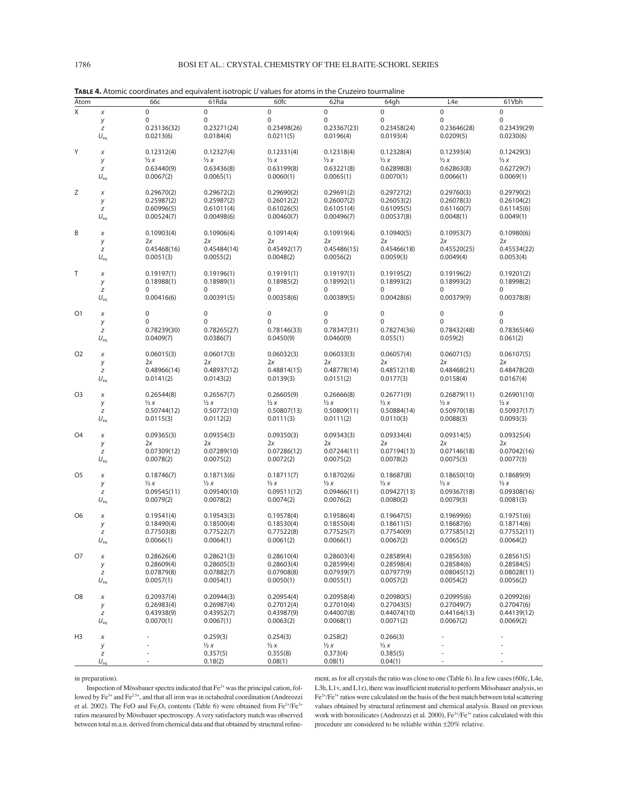| Atom           |          | 66с            | 61Rda                    | 60fc                     | 62ha           | 64gh                     | L <sub>4e</sub> | 61Vbh          |
|----------------|----------|----------------|--------------------------|--------------------------|----------------|--------------------------|-----------------|----------------|
| Χ              | $\chi$   | 0              | $\mathbf 0$              | $\mathbf 0$              | $\mathbf 0$    | $\mathbf 0$              | 0               | 0              |
|                | у        | 0              | $\mathbf 0$              | 0                        | $\mathbf 0$    | 0                        | $\mathbf 0$     | 0              |
|                | z        | 0.23136(32)    | 0.23271(24)              | 0.23498(26)              | 0.23367(23)    | 0.23458(24)              | 0.23646(28)     | 0.23439(29)    |
|                | $U_{eq}$ | 0.0213(6)      | 0.0184(4)                | 0.0211(5)                | 0.0196(4)      | 0.0193(4)                | 0.0209(5)       | 0.0230(6)      |
|                |          |                |                          |                          |                |                          |                 |                |
| Y              | X        | 0.12312(4)     | 0.12327(4)               | 0.12331(4)               | 0.12318(4)     | 0.12328(4)               | 0.12393(4)      | 0.12429(3)     |
|                | у        | $\frac{1}{2}x$ | $\frac{1}{2}x$           | $\frac{1}{2}x$           | $\frac{1}{2}x$ | $\frac{1}{2}x$           | $\frac{1}{2}x$  | $\frac{1}{2}x$ |
|                | z        | 0.63440(9)     | 0.63436(8)               | 0.63199(8)               | 0.63221(8)     | 0.62898(8)               | 0.62863(8)      | 0.62729(7)     |
|                | $U_{eq}$ | 0.0067(2)      | 0.0065(1)                | 0.0060(1)                | 0.0065(1)      | 0.0070(1)                | 0.0066(1)       | 0.0069(1)      |
| Ζ              | X        | 0.29670(2)     | 0.29672(2)               | 0.29690(2)               | 0.29691(2)     | 0.29727(2)               | 0.29760(3)      | 0.29790(2)     |
|                | у        | 0.25987(2)     | 0.25987(2)               | 0.26012(2)               | 0.26007(2)     | 0.26053(2)               | 0.26078(3)      | 0.26104(2)     |
|                | z        | 0.60996(5)     | 0.61011(4)               | 0.61026(5)               | 0.61051(4)     | 0.61095(5)               | 0.61160(7)      | 0.61145(6)     |
|                | $U_{eq}$ | 0.00524(7)     | 0.00498(6)               | 0.00460(7)               | 0.00496(7)     | 0.00537(8)               | 0.0048(1)       | 0.0049(1)      |
|                |          |                |                          |                          |                |                          |                 |                |
| B              | Х        | 0.10903(4)     | 0.10906(4)               | 0.10914(4)               | 0.10919(4)     | 0.10940(5)               | 0.10953(7)      | 0.10980(6)     |
|                | у        | 2x             | 2x                       | 2x                       | 2x             | 2x                       | 2x              | 2x             |
|                | z        | 0.45468(16)    | 0.45484(14)              | 0.45492(17)              | 0.45486(15)    | 0.45466(18)              | 0.45520(25)     | 0.45534(22)    |
|                | $U_{eq}$ | 0.0051(3)      | 0.0055(2)                | 0.0048(2)                | 0.0056(2)      | 0.0059(3)                | 0.0049(4)       | 0.0053(4)      |
| Τ              | X        | 0.19197(1)     | 0.19196(1)               | 0.19191(1)               | 0.19197(1)     | 0.19195(2)               | 0.19196(2)      | 0.19201(2)     |
|                | у        | 0.18988(1)     | 0.18989(1)               | 0.18985(2)               | 0.18992(1)     | 0.18993(2)               | 0.18993(2)      | 0.18998(2)     |
|                | z        | 0              | 0                        | 0                        | 0              | 0                        | 0               | 0              |
|                | $U_{eq}$ | 0.00416(6)     | 0.00391(5)               | 0.00358(6)               | 0.00389(5)     | 0.00428(6)               | 0.00379(9)      | 0.00378(8)     |
|                |          |                |                          |                          |                |                          |                 |                |
| O <sub>1</sub> | X        | 0              | 0                        | 0                        | 0              | 0                        | 0               | 0              |
|                | у        | 0              | $\mathbf 0$              | 0                        | 0              | 0                        | $\mathbf 0$     | $\mathbf 0$    |
|                | z        | 0.78239(30)    | 0.78265(27)              | 0.78146(33)              | 0.78347(31)    | 0.78274(36)              | 0.78432(48)     | 0.78365(46)    |
|                | $U_{eq}$ | 0.0409(7)      | 0.0386(7)                | 0.0450(9)                | 0.0460(9)      | 0.055(1)                 | 0.059(2)        | 0.061(2)       |
| O <sub>2</sub> |          | 0.06015(3)     | 0.06017(3)               | 0.06032(3)               | 0.06033(3)     | 0.06057(4)               | 0.06071(5)      | 0.06107(5)     |
|                | X<br>у   | 2x             | 2x                       | 2x                       | 2x             | 2x                       | 2x              | 2x             |
|                | z        | 0.48966(14)    | 0.48937(12)              | 0.48814(15)              | 0.48778(14)    | 0.48512(18)              | 0.48468(21)     | 0.48478(20)    |
|                | $U_{eq}$ | 0.0141(2)      | 0.0143(2)                | 0.0139(3)                | 0.0151(2)      | 0.0177(3)                | 0.0158(4)       | 0.0167(4)      |
|                |          |                |                          |                          |                |                          |                 |                |
| O <sub>3</sub> | Х        | 0.26544(8)     | 0.26567(7)               | 0.26605(9)               | 0.26666(8)     | 0.26771(9)               | 0.26879(11)     | 0.26901(10)    |
|                | у        | $\frac{1}{2}x$ | $\frac{1}{2}x$           | $\frac{1}{2}x$           | $\frac{1}{2}x$ | $\frac{1}{2}x$           | $\frac{1}{2}x$  | $\frac{1}{2}x$ |
|                | z        | 0.50744(12)    | 0.50772(10)              | 0.50807(13)              | 0.50809(11)    | 0.50884(14)              | 0.50970(18)     | 0.50937(17)    |
|                | $U_{eq}$ | 0.0115(3)      | 0.0112(2)                | 0.0111(3)                | 0.0111(2)      | 0.0110(3)                | 0.0088(3)       | 0.0093(3)      |
| O <sub>4</sub> | X        | 0.09365(3)     | 0.09354(3)               | 0.09350(3)               | 0.09343(3)     | 0.09334(4)               | 0.09314(5)      | 0.09325(4)     |
|                | у        | 2x             | 2x                       | 2x                       | 2x             | 2x                       | 2x              | 2x             |
|                | z        | 0.07309(12)    | 0.07289(10)              | 0.07286(12)              | 0.07244(11)    | 0.07194(13)              | 0.07146(18)     | 0.07042(16)    |
|                | $U_{eq}$ | 0.0078(2)      | 0.0075(2)                | 0.0072(2)                | 0.0075(2)      | 0.0078(2)                | 0.0075(3)       | 0.0077(3)      |
|                |          |                |                          |                          |                |                          |                 |                |
| O <sub>5</sub> | X        | 0.18746(7)     | 0.18713(6)               | 0.18711(7)               | 0.18702(6)     | 0.18687(8)               | 0.18650(10)     | 0.18689(9)     |
|                | у        | $\frac{1}{2}x$ | $\frac{1}{2}x$           | $\frac{1}{2}x$           | $\frac{1}{2}x$ | $\frac{1}{2}x$           | $\frac{1}{2}x$  | $\frac{1}{2}x$ |
|                | z        | 0.09545(11)    | 0.09540(10)              | 0.09511(12)              | 0.09466(11)    | 0.09427(13)              | 0.09367(18)     | 0.09308(16)    |
|                | $U_{eq}$ | 0.0079(2)      | 0.0078(2)                | 0.0074(2)                | 0.0076(2)      | 0.0080(2)                | 0.0079(3)       | 0.0081(3)      |
| O <sub>6</sub> |          | 0.19541(4)     |                          |                          | 0.19586(4)     |                          | 0.19699(6)      | 0.19751(6)     |
|                | Х        | 0.18490(4)     | 0.19543(3)<br>0.18500(4) | 0.19578(4)<br>0.18530(4) | 0.18550(4)     | 0.19647(5)<br>0.18611(5) | 0.18687(6)      | 0.18714(6)     |
|                | у<br>z   | 0.77503(8)     | 0.77522(7)               | 0.77522(8)               | 0.77525(7)     | 0.77540(9)               | 0.77585(12)     | 0.77552(11)    |
|                | $U_{eq}$ | 0.0066(1)      | 0.0064(1)                | 0.0061(2)                | 0.0066(1)      | 0.0067(2)                | 0.0065(2)       | 0.0064(2)      |
|                |          |                |                          |                          |                |                          |                 |                |
| O7             | $\chi$   | 0.28626(4)     | 0.28621(3)               | 0.28610(4)               | 0.28603(4)     | 0.28589(4)               | 0.28563(6)      | 0.28561(5)     |
|                | у        | 0.28609(4)     | 0.28605(3)               | 0.28603(4)               | 0.28599(4)     | 0.28598(4)               | 0.28584(6)      | 0.28584(5)     |
|                | z        | 0.07879(8)     | 0.07882(7)               | 0.07908(8)               | 0.07939(7)     | 0.07977(9)               | 0.08045(12)     | 0.08028(11)    |
|                | $U_{eq}$ | 0.0057(1)      | 0.0054(1)                | 0.0050(1)                | 0.0055(1)      | 0.0057(2)                | 0.0054(2)       | 0.0056(2)      |
| O <sub>8</sub> |          | 0.20937(4)     | 0.20944(3)               | 0.20954(4)               | 0.20958(4)     | 0.20980(5)               | 0.20995(6)      | 0.20992(6)     |
|                | X        | 0.26983(4)     | 0.26987(4)               | 0.27012(4)               | 0.27010(4)     | 0.27043(5)               | 0.27049(7)      | 0.27047(6)     |
|                | у<br>z   | 0.43938(9)     | 0.43952(7)               | 0.43987(9)               | 0.44007(8)     | 0.44074(10)              | 0.44164(13)     | 0.44139(12)    |
|                | $U_{eq}$ | 0.0070(1)      | 0.0067(1)                | 0.0063(2)                | 0.0068(1)      | 0.0071(2)                | 0.0067(2)       | 0.0069(2)      |
|                |          |                |                          |                          |                |                          |                 |                |
| H <sub>3</sub> | X        |                | 0.259(3)                 | 0.254(3)                 | 0.258(2)       | 0.266(3)                 |                 |                |
|                | у        |                | $\frac{1}{2}x$           | $\frac{1}{2}x$           | $\frac{1}{2}x$ | $\frac{1}{2}x$           |                 |                |
|                | z        |                | 0.357(5)                 | 0.355(8)                 | 0.373(4)       | 0.385(5)                 |                 |                |
|                | $U_{eq}$ |                | 0.18(2)                  | 0.08(1)                  | 0.08(1)        | 0.04(1)                  |                 |                |

**TABLE 4.** Atomic coordinates and equivalent isotropic U values for atoms in the Cruzeiro tourmaline

in preparation).

Inspection of Mössbauer spectra indicated that Fe<sup>2+</sup> was the principal cation, followed by Fe<sup>3+</sup> and Fe<sup>2.5+</sup>, and that all iron was in octahedral coordination (Andreozzi et al. 2002). The FeO and Fe<sub>2</sub>O<sub>3</sub> contents (Table 6) were obtained from Fe<sup>2+</sup>/Fe<sup>3+</sup> ratios measured by Mössbauer spectroscopy. A very satisfactory match was observed between total m.a.n. derived from chemical data and that obtained by structural refine-

ment, as for all crystals the ratio was close to one (Table 6). In a few cases (60fc, L4e, L3h, L1v, and L1z), there was insufficient material to perform Mössbauer analysis, so Fe2+/Fe3+ ratios were calculated on the basis of the best match between total scattering values obtained by structural refinement and chemical analysis. Based on previous work with borosilicates (Andreozzi et al. 2000),  $Fe^{2+}/Fe^{3+}$  ratios calculated with this procedure are considered to be reliable within ±20% relative.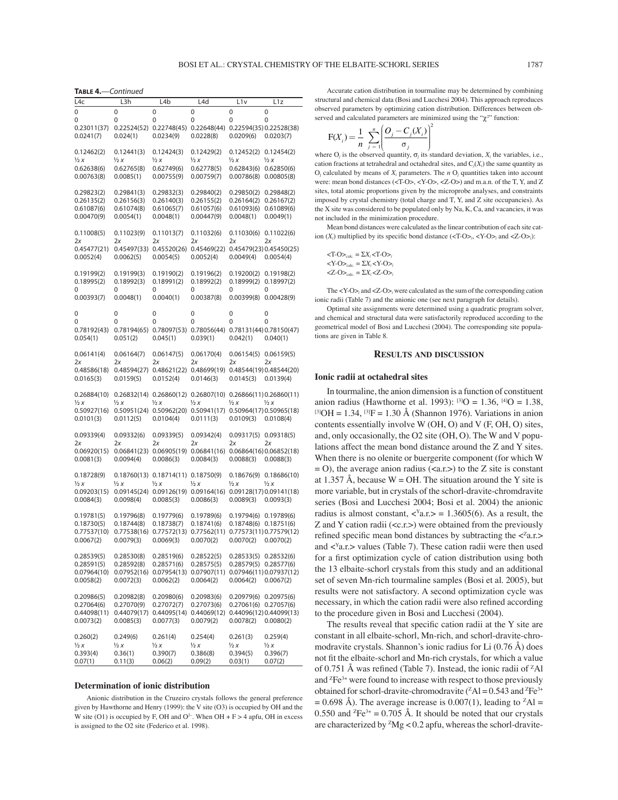**TABLE 4.**—Continued

| L4c            | L3h            | L4b                         | L4d            | L1v            | L1z                     |
|----------------|----------------|-----------------------------|----------------|----------------|-------------------------|
|                |                |                             |                |                |                         |
| 0              | 0              | 0                           | 0              | 0              | 0                       |
| 0              | 0              | 0                           | 0              | 0              | 0                       |
| 0.23011(37)    | 0.22524(52)    | 0.22748(45)                 | 0.22648(44)    |                | 0.22594(35) 0.22528(38) |
| 0.0241(7)      | 0.024(1)       | 0.0234(9)                   | 0.0228(8)      | 0.0209(6)      | 0.0203(7)               |
|                |                |                             |                |                |                         |
| 0.12462(2)     | 0.12441(3)     | 0.12424(3)                  | 0.12429(2)     | 0.12452(2)     | 0.12454(2)              |
| $\frac{1}{2}x$ | $\frac{1}{2}x$ | ½ x                         | 1/2 X          | $\frac{1}{2}x$ | $\frac{1}{2}x$          |
| 0.62638(6)     | 0.62765(8)     | 0.62749(6)                  | 0.62778(5)     | 0.62843(6)     | 0.62850(6)              |
| 0.00763(8)     | 0.0085(1)      | 0.00755(9)                  | 0.00759(7)     | 0.00786(8)     | 0.00805(8)              |
|                |                |                             |                |                |                         |
|                |                |                             |                |                |                         |
| 0.29823(2)     | 0.29841(3)     | 0.29832(3)                  | 0.29840(2)     | 0.29850(2)     | 0.29848(2)              |
| 0.26135(2)     | 0.26156(3)     | 0.26140(3)                  | 0.26155(2)     | 0.26164(2)     | 0.26167(2)              |
| 0.61087(6)     | 0.61074(8)     | 0.61065(7)                  | 0.61057(6)     | 0.61093(6)     | 0.61089(6)              |
| 0.00470(9)     | 0.0054(1)      | 0.0048(1)                   | 0.00447(9)     | 0.0048(1)      | 0.0049(1)               |
|                |                |                             |                |                |                         |
| 0.11008(5)     | 0.11023(9)     | 0.11013(7)                  | 0.11032(6)     | 0.11030(6)     | 0.11022(6)              |
| 2x             | 2x             | 2x                          | 2х             | 2x             | 2x                      |
| 0.45477(21)    | 0.45497(33)    | 0.45520(26)                 | 0.45469(22)    |                | 0.45479(23) 0.45450(25) |
| 0.0052(4)      | 0.0062(5)      | 0.0054(5)                   | 0.0052(4)      | 0.0049(4)      | 0.0054(4)               |
|                |                |                             |                |                |                         |
| 0.19199(2)     | 0.19199(3)     | 0.19190(2)                  | 0.19196(2)     | 0.19200(2)     | 0.19198(2)              |
| 0.18995(2)     | 0.18992(3)     | 0.18991(2)                  | 0.18992(2)     | 0.18999(2)     | 0.18997(2)              |
| 0              | 0              | 0                           | 0              | 0              | 0                       |
| 0.00393(7)     | 0.0048(1)      | 0.0040(1)                   | 0.00387(8)     | 0.00399(8)     | 0.00428(9)              |
|                |                |                             |                |                |                         |
|                |                |                             |                |                |                         |
| 0              | 0              | 0                           | 0              | 0              | 0                       |
| 0              | 0              | 0                           | 0              | 0              | 0                       |
| 0.78192(43)    | 0.78194(65)    | 0.78097(53)                 | 0.78056(44)    |                | 0.78131(44)0.78150(47)  |
| 0.054(1)       | 0.051(2)       | 0.045(1)                    | 0.039(1)       | 0.042(1)       | 0.040(1)                |
|                |                |                             |                |                |                         |
| 0.06141(4)     | 0.06164(7)     | 0.06147(5)                  | 0.06170(4)     | 0.06154(5)     | 0.06159(5)              |
| 2x             | 2x             | 2x                          | 2x             | 2x             | 2x                      |
| 0.48586(18)    | 0.48594(27)    | 0.48621(22)                 | 0.48699(19)    |                | 0.48544(19) 0.48544(20) |
| 0.0165(3)      | 0.0159(5)      | 0.0152(4)                   | 0.0146(3)      | 0.0145(3)      | 0.0139(4)               |
|                |                |                             |                |                |                         |
| 0.26884(10)    | 0.26832(14)    | 0.26860(12)                 | 0.26807(10)    |                | 0.26866(11)0.26860(11)  |
| ½ x            | $\frac{1}{2}x$ | $\frac{1}{2}x$              | ½ x            | ½ x            | ½ x                     |
| 0.50927(16)    | 0.50951(24)    | 0.50962(20)                 | 0.50941(17)    |                | 0.50964(17)0.50965(18)  |
|                |                |                             |                |                |                         |
| 0.0101(3)      | 0.0112(5)      | 0.0104(4)                   | 0.0111(3)      | 0.0109(3)      | 0.0108(4)               |
|                |                |                             |                |                |                         |
| 0.09339(4)     | 0.09332(6)     | 0.09339(5)                  | 0.09342(4)     | 0.09317(5)     | 0.09318(5)              |
| 2х             | 2х             | 2x                          | 2х             | 2x             | 2x                      |
| 0.06920(15)    | 0.06841(23)    | 0.06905(19)                 | 0.06841(16)    |                | 0.06864(16)0.06852(18)  |
| 0.0081(3)      | 0.0094(4)      | 0.0086(3)                   | 0.0084(3)      | 0.0088(3)      | 0.0088(3)               |
|                |                |                             |                |                |                         |
| 0.18728(9)     |                | $0.18760(13)$ $0.18714(11)$ | 0.18750(9)     | 0.18676(9)     | 0.18686(10)             |
| ½ x            | ½ x            | ½ x                         | $\frac{1}{2}x$ | $\frac{1}{2}x$ | $\frac{1}{2}x$          |
| 0.09203(15)    | 0.09145(24)    | 0.09126(19)                 | 0.09164(16)    |                | 0.09128(17) 0.09141(18) |
| 0.0084(3)      | 0.0098(4)      | 0.0085(3)                   | 0.0086(3)      | 0.0089(3)      | 0.0093(3)               |
|                |                |                             |                |                |                         |
| 0.19781(5)     | 0.19796(8)     | 0.19779(6)                  | 0.19789(6)     | 0.19794(6)     | 0.19789(6)              |
| 0.18730(5)     | 0.18744(8)     | 0.18738(7)                  | 0.18741(6)     | 0.18748(6)     | 0.18751(6)              |
| 0.77537(10)    | 0.77538(16)    | 0.77572(13)                 | 0.77562(11)    |                | 0.77573(11) 0.77579(12) |
| 0.0067(2)      | 0.0079(3)      | 0.0069(3)                   | 0.0070(2)      | 0.0070(2)      | 0.0070(2)               |
|                |                |                             |                |                |                         |
|                |                |                             |                |                |                         |
| 0.28539(5)     | 0.28530(8)     | 0.28519(6)                  | 0.28522(5)     |                | 0.28533(5) 0.28532(6)   |
| 0.28591(5)     | 0.28592(8)     | 0.28571(6)                  | 0.28575(5)     | 0.28579(5)     | 0.28577(6)              |
| 0.07964(10)    | 0.07952(16)    | 0.07954(13)                 | 0.07907(11)    |                | 0.07946(11) 0.07937(12) |
| 0.0058(2)      | 0.0072(3)      | 0.0062(2)                   | 0.0064(2)      | 0.0064(2)      | 0.0067(2)               |
|                |                |                             |                |                |                         |
| 0.20986(5)     | 0.20982(8)     | 0.20980(6)                  | 0.20983(6)     | 0.20979(6)     | 0.20975(6)              |
| 0.27064(6)     | 0.27070(9)     | 0.27072(7)                  | 0.27073(6)     | 0.27061(6)     | 0.27057(6)              |
| 0.44098(11)    | 0.44079(17)    | 0.44095(14)                 | 0.44069(12)    |                | 0.44096(12) 0.44099(13) |
| 0.0073(2)      | 0.0085(3)      | 0.0077(3)                   | 0.0079(2)      | 0.0078(2)      | 0.0080(2)               |
|                |                |                             |                |                |                         |
| 0.260(2)       | 0.249(6)       | 0.261(4)                    | 0.254(4)       | 0.261(3)       | 0.259(4)                |
| ½ x            | ½ x            | ½ x                         | $\frac{1}{2}x$ | ½ x            | ½ x                     |
| 0.393(4)       | 0.36(1)        | 0.390(7)                    | 0.386(8)       | 0.394(5)       | 0.396(7)                |
| 0.07(1)        | 0.11(3)        | 0.06(2)                     | 0.09(2)        | 0.03(1)        | 0.07(2)                 |
|                |                |                             |                |                |                         |

#### **Determination of ionic distribution**

Anionic distribution in the Cruzeiro crystals follows the general preference given by Hawthorne and Henry (1999): the V site (O3) is occupied by OH and the W site (O1) is occupied by F, OH and O<sup>2-</sup>. When OH + F > 4 apfu, OH in excess is assigned to the O2 site (Federico et al. 1998).

Accurate cation distribution in tourmaline may be determined by combining structural and chemical data (Bosi and Lucchesi 2004). This approach reproduces observed parameters by optimizing cation distribution. Differences between observed and calculated parameters are minimized using the " $\chi$ <sup>2</sup>" function:

2

$$
F(X_i) = \frac{1}{n} \sum_{j=1}^{n} \left( \frac{O_j - C_j(X_i)}{\sigma_j} \right)^2
$$

where O<sub>*j*</sub> is the observed quantity,  $\sigma_j$  its standard deviation,  $X_i$  the variables, i.e., cation fractions at tetrahedral and octahedral sites, and C*j*(*Xi*) the same quantity as  $O_i$  calculated by means of  $X_i$  parameters. The  $n O_i$  quantities taken into account were: mean bond distances (<T-O>, <Y-O>, <Z-O>) and m.a.n. of the T, Y, and Z sites, total atomic proportions given by the microprobe analyses, and constraints imposed by crystal chemistry (total charge and T, Y, and Z site occupancies). As the X site was considered to be populated only by Na, K, Ca, and vacancies, it was not included in the minimization procedure.

Mean bond distances were calculated as the linear contribution of each site cation  $(X_i)$  multiplied by its specific bond distance  $(\langle T-O \rangle_i, \langle Y-O \rangle_i)$  and  $\langle Z-O \rangle_i$ ):

$$
\begin{aligned}\n& <\text{T-O}>_{\text{calc.}}=\Sigma X_i < \text{T-O}>_{i}\\
& <\text{Y-O}>_{\text{calc.}}=\Sigma X_i < \text{Y-O}>_{i}\\
& <\text{Z-O}>_{\text{calc.}}=\Sigma X_i < \text{Z-O}>_{i}\n\end{aligned}
$$

The <Y-O>*i* and <Z-O>*i* were calculated as the sum of the corresponding cation ionic radii (Table 7) and the anionic one (see next paragraph for details).

Optimal site assignments were determined using a quadratic program solver, and chemical and structural data were satisfactorily reproduced according to the geometrical model of Bosi and Lucchesi (2004). The corresponding site populations are given in Table 8.

### **RESULTS AND DISCUSSION**

### **Ionic radii at octahedral sites**

In tourmaline, the anion dimension is a function of constituent anion radius (Hawthorne et al. 1993): <sup>[3]</sup>O = 1.36, <sup>[4]</sup>O = 1.38, <sup>[3]</sup>OH = 1.34, <sup>[3]</sup>F = 1.30 Å (Shannon 1976). Variations in anion contents essentially involve W (OH, O) and V (F, OH, O) sites, and, only occasionally, the O2 site (OH, O). The W and V populations affect the mean bond distance around the Z and Y sites. When there is no olenite or buergerite component (for which W  $=$  O), the average anion radius (<a.r.>) to the Z site is constant at 1.357 Å, because  $W = OH$ . The situation around the Y site is more variable, but in crystals of the schorl-dravite-chromdravite series (Bosi and Lucchesi 2004; Bosi et al. 2004) the anionic radius is almost constant,  $\langle x \rangle$  a.r.  $>$  = 1.3605(6). As a result, the Z and Y cation radii (<c.r.>) were obtained from the previously refined specific mean bond distances by subtracting the  $\langle z^2a \rangle$ . and  $\langle$ <sup>Y</sup>a.r. > values (Table 7). These cation radii were then used for a first optimization cycle of cation distribution using both the 13 elbaite-schorl crystals from this study and an additional set of seven Mn-rich tourmaline samples (Bosi et al. 2005), but results were not satisfactory. A second optimization cycle was necessary, in which the cation radii were also refined according to the procedure given in Bosi and Lucchesi (2004).

The results reveal that specific cation radii at the Y site are constant in all elbaite-schorl, Mn-rich, and schorl-dravite-chromodravite crystals. Shannon's ionic radius for Li (0.76 Å) does not fit the elbaite-schorl and Mn-rich crystals, for which a value of 0.751 Å was refined (Table 7). Instead, the ionic radii of  ${}^{z}$ Al and  ${}^{2}Fe^{3+}$  were found to increase with respect to those previously obtained for schorl-dravite-chromodravite  $(^{2}Al = 0.543$  and  $^2Fe^{3+}$  $= 0.698$  Å). The average increase is 0.007(1), leading to <sup>z</sup>Al = 0.550 and  ${}^{z}Fe^{3+} = 0.705$  Å. It should be noted that our crystals are characterized by  ${}^{z}Mg$  < 0.2 apfu, whereas the schorl-dravite-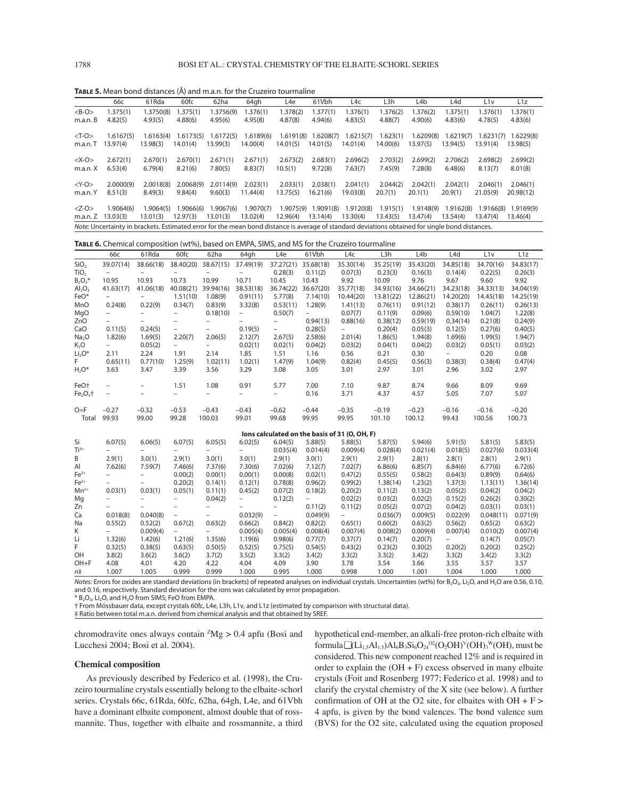**TABLE 5.** Mean bond distances (Å) and m.a.n. for the Cruzeiro tourmaline

|               | 66с                                                                                                                                             | 61Rda     | 60fc      | 62ha      | 64gh      | L4e       | 61Vbh     | L4c       | L3h      | L4b       | L4d       | L1v       | L1z       |
|---------------|-------------------------------------------------------------------------------------------------------------------------------------------------|-----------|-----------|-----------|-----------|-----------|-----------|-----------|----------|-----------|-----------|-----------|-----------|
| $B-O>$        | 1.375(1)                                                                                                                                        | 1.3750(8) | 1.375(1)  | 1.3756(9) | 1.376(1)  | 1.378(2)  | 1.377(1)  | 1.376(1)  | 1.376(2) | 1.376(2)  | 1.375(1)  | 1.376(1)  | 1.376(1)  |
| m.a.n.B       | 4.82(5)                                                                                                                                         | 4.93(5)   | 4.88(6)   | 4.95(6)   | 4.95(8)   | 4.87(8)   | 4.94(6)   | 4.83(5)   | 4.88(7)  | 4.90(6)   | 4.83(6)   | 4.78(5)   | 4.83(6)   |
| $<$ T-O $>$   | 1.6167(5)                                                                                                                                       | 1.6163(4) | 1.6173(5) | 1.6172(5) | 1.6189(6) | 1.6191(8) | 1.6208(7) | 1.6215(7) | 1.623(1) | 1.6209(8) | .6219(7)  | 1.6231(7) | 1.6229(8) |
| m.a.n.T       | 13.97(4)                                                                                                                                        | 13.98(3)  | 14.01(4)  | 13.99(3)  | 14.00(4)  | 14.01(5)  | 14.01(5)  | 14.01(4)  | 14.00(6) | 13.97(5)  | 13.94(5)  | 13.91(4)  | 13.98(5)  |
| $<\text{X-O}$ | 2.672(1)                                                                                                                                        | 2.670(1)  | 2.670(1)  | 2.671(1)  | 2.671(1)  | 2.673(2)  | 2.683(1)  | 2.696(2)  | 2.703(2) | 2.699(2)  | 2.706(2)  | 2.698(2)  | 2.699(2)  |
| m.a.n.X       | 6.53(4)                                                                                                                                         | 6.79(4)   | 8.21(6)   | 7.80(5)   | 8.83(7)   | 10.5(1)   | 9.72(8)   | 7.63(7)   | 7.45(9)  | 7.28(8)   | 6.48(6)   | 8.13(7)   | 8.01(8)   |
| $<$ Y-O $>$   | 2.0000(9)                                                                                                                                       | 2.0018(8) | 2.0068(9) | 2.0114(9) | 2.023(1)  | 2.033(1)  | 2.038(1)  | 2.041(1)  | 2.044(2) | 2.042(1)  | 2.042(1)  | 2.046(1)  | 2.046(1)  |
| m.a.n. Y      | 8.51(3)                                                                                                                                         | 8.49(3)   | 9.84(4)   | 9.60(3)   | 11.44(4)  | 13.75(5)  | 16.21(6)  | 19.03(8)  | 20.7(1)  | 20.1(1)   | 20.9(1)   | 21.05(9)  | 20.98(12) |
| $-O>$         | 1.9064(6)                                                                                                                                       | 1.9064(5) | 1.9066(6) | 1.9067(6) | 1.9070(7) | 1.9075(9) | 1.9091(8) | 1.9120(8) | 1.915(1) | 1.9148(9) | 1.9162(8) | 1.9166(8) | 1.9169(9) |
| m.a.n.Z       | 13.03(3)                                                                                                                                        | 13.01(3)  | 12.97(3)  | 13.01(3)  | 13.02(4)  | 12.96(4)  | 13.14(4)  | 13.30(4)  | 13.43(5) | 13.47(4)  | 13.54(4)  | 13.47(4)  | 13.46(4)  |
|               | Note: Uncertainty in brackets. Estimated error for the mean bond distance is average of standard deviations obtained for single bond distances. |           |           |           |           |           |           |           |          |           |           |           |           |

**TABLE 6.** Chemical composition (wt%), based on EMPA, SIMS, and MS for the Cruzeiro tourmaline

|                                | 66с                      | 61Rda                    | 60fc                     | 62ha                     | 64gh                     | L <sub>4e</sub>          | 61Vbh                    | L4c                                           | L <sub>3</sub> h | L4b       | L <sub>4</sub> d | L1v       | L <sub>1z</sub> |
|--------------------------------|--------------------------|--------------------------|--------------------------|--------------------------|--------------------------|--------------------------|--------------------------|-----------------------------------------------|------------------|-----------|------------------|-----------|-----------------|
| SiO <sub>2</sub>               | 39.07(14)                | 38.66(18)                | 38.40(20)                | 38.67(15)                | 37.49(19)                | 37.27(21)                | 35.68(18)                | 35.30(14)                                     | 35.25(19)        | 35.43(20) | 34.85(18)        | 34.70(16) | 34.83(17)       |
| TiO <sub>2</sub>               |                          |                          |                          |                          |                          | 0.28(3)                  | 0.11(2)                  | 0.07(3)                                       | 0.23(3)          | 0.16(3)   | 0.14(4)          | 0.22(5)   | 0.26(3)         |
| $B_2O_3*$                      | 10.95                    | 10.93                    | 10.73                    | 10.99                    | 10.71                    | 10.45                    | 10.43                    | 9.92                                          | 10.09            | 9.76      | 9.67             | 9.60      | 9.92            |
| Al <sub>2</sub> O <sub>3</sub> | 41.63(17)                | 41.06(18)                | 40.08(21)                | 39.94(16)                | 38.53(18)                | 36.74(22)                | 36.67(20)                | 35.77(18)                                     | 34.93(16)        | 34.66(21) | 34.23(18)        | 34.33(13) | 34.04(19)       |
| FeO*                           | $\overline{\phantom{0}}$ |                          | 1.51(10)                 | 1.08(9)                  | 0.91(11)                 | 5.77(8)                  | 7.14(10)                 | 10.44(20)                                     | 13.81(22)        | 12.86(21) | 14.20(20)        | 14.45(18) | 14.25(19)       |
| MnO                            | 0.24(8)                  | 0.22(9)                  | 0.34(7)                  | 0.83(9)                  | 3.32(8)                  | 0.53(11)                 | 1.28(9)                  | 1.41(13)                                      | 0.76(11)         | 0.91(12)  | 0.38(17)         | 0.26(11)  | 0.26(13)        |
| MgO                            | $\overline{\phantom{0}}$ | $\overline{a}$           | $\overline{a}$           | 0.18(10)                 | $\overline{\phantom{0}}$ | 0.50(7)                  | $\overline{\phantom{0}}$ | 0.07(7)                                       | 0.11(9)          | 0.09(6)   | 0.59(10)         | 1.04(7)   | 1.22(8)         |
| ZnO                            |                          | $\overline{a}$           | $\overline{\phantom{0}}$ | $\overline{a}$           |                          | $\overline{\phantom{0}}$ | 0.94(13)                 | 0.88(16)                                      | 0.38(12)         | 0.59(19)  | 0.34(14)         | 0.21(8)   | 0.24(9)         |
| CaO                            | 0.11(5)                  | 0.24(5)                  | $\overline{\phantom{0}}$ | $\overline{\phantom{0}}$ | 0.19(5)                  | $\overline{\phantom{m}}$ | 0.28(5)                  | $\overline{\phantom{0}}$                      | 0.20(4)          | 0.05(3)   | 0.12(5)          | 0.27(6)   | 0.40(5)         |
| Na <sub>2</sub> O              | 1.82(6)                  | 1.69(5)                  | 2.20(7)                  | 2.06(5)                  | 2.12(7)                  | 2.67(5)                  | 2.58(6)                  | 2.01(4)                                       | 1.86(5)          | 1.94(8)   | 1.69(6)          | 1.99(5)   | 1.94(7)         |
| $K_2O$                         | $\overline{\phantom{0}}$ | 0.05(2)                  | $\overline{\phantom{0}}$ | $\overline{a}$           | 0.02(1)                  | 0.02(1)                  | 0.04(2)                  | 0.03(2)                                       | 0.04(1)          | 0.04(2)   | 0.03(2)          | 0.05(1)   | 0.03(2)         |
| $Li2O*$                        | 2.11                     | 2.24                     | 1.91                     | 2.14                     | 1.85                     | 1.51                     | 1.16                     | 0.56                                          | 0.21             | 0.30      | $-$              | 0.20      | 0.08            |
| F.                             | 0.65(11)                 | 0.77(10)                 | 1.25(9)                  | 1.02(11)                 | 1.02(1)                  | 1.47(9)                  | 1.04(9)                  | 0.82(4)                                       | 0.45(5)          | 0.56(3)   | 0.38(3)          | 0.38(4)   | 0.47(4)         |
| $H_2O^*$                       | 3.63                     | 3.47                     | 3.39                     | 3.56                     | 3.29                     | 3.08                     | 3.05                     | 3.01                                          | 2.97             | 3.01      | 2.96             | 3.02      | 2.97            |
| FeO <sup>+</sup>               |                          |                          | 1.51                     | 1.08                     | 0.91                     | 5.77                     | 7.00                     | 7.10                                          | 9.87             | 8.74      | 9.66             | 8.09      | 9.69            |
| $Fe2O3$ +                      | $\overline{a}$           |                          | $\overline{\phantom{0}}$ | $\overline{a}$           | $\overline{\phantom{0}}$ | $-$                      | 0.16                     | 3.71                                          | 4.37             | 4.57      | 5.05             | 7.07      | 5.07            |
| $O = F$                        | $-0.27$                  | $-0.32$                  | $-0.53$                  | $-0.43$                  | $-0.43$                  | $-0.62$                  | $-0.44$                  | $-0.35$                                       | $-0.19$          | $-0.23$   | $-0.16$          | $-0.16$   | $-0.20$         |
| Total                          | 99.93                    | 99.00                    | 99.28                    | 100.03                   | 99.01                    | 99.68                    | 99.95                    | 99.95                                         | 101.10           | 100.12    | 99.43            | 100.56    | 100.73          |
|                                |                          |                          |                          |                          |                          |                          |                          | lons calculated on the basis of 31 (O, OH, F) |                  |           |                  |           |                 |
| Si                             | 6.07(5)                  | 6.06(5)                  | 6.07(5)                  | 6.05(5)                  | 6.02(5)                  | 6.04(5)                  | 5.88(5)                  | 5.88(5)                                       | 5.87(5)          | 5.94(6)   | 5.91(5)          | 5.81(5)   | 5.83(5)         |
| $Ti4+$                         |                          | $\overline{\phantom{0}}$ |                          |                          | $\overline{\phantom{0}}$ | 0.035(4)                 | 0.014(4)                 | 0.009(4)                                      | 0.028(4)         | 0.021(4)  | 0.018(5)         | 0.027(6)  | 0.033(4)        |
| В                              | 2.9(1)                   | 3.0(1)                   | 2.9(1)                   | 3.0(1)                   | 3.0(1)                   | 2.9(1)                   | 3.0(1)                   | 2.9(1)                                        | 2.9(1)           | 2.8(1)    | 2.8(1)           | 2.8(1)    | 2.9(1)          |
| Al                             | 7.62(6)                  | 7.59(7)                  | 7.46(6)                  | 7.37(6)                  | 7.30(6)                  | 7.02(6)                  | 7.12(7)                  | 7.02(7)                                       | 6.86(6)          | 6.85(7)   | 6.84(6)          | 6.77(6)   | 6.72(6)         |
| $Fe3+$                         |                          | $\overline{\phantom{0}}$ | 0.00(2)                  | 0.00(1)                  | 0.00(1)                  | 0.00(8)                  | 0.02(1)                  | 0.47(2)                                       | 0.55(5)          | 0.58(2)   | 0.64(3)          | 0.89(9)   | 0.64(6)         |
| $Fe2+$                         |                          |                          | 0.20(2)                  | 0.14(1)                  | 0.12(1)                  | 0.78(8)                  | 0.96(2)                  | 0.99(2)                                       | 1.38(14)         | 1.23(2)   | 1.37(3)          | 1.13(11)  | 1.36(14)        |
| $Mn^{2+}$                      | 0.03(1)                  | 0.03(1)                  | 0.05(1)                  | 0.11(1)                  | 0.45(2)                  | 0.07(2)                  | 0.18(2)                  | 0.20(2)                                       | 0.11(2)          | 0.13(2)   | 0.05(2)          | 0.04(2)   | 0.04(2)         |
| Mg                             | $\overline{\phantom{0}}$ | $\overline{\phantom{0}}$ | $\overline{\phantom{0}}$ | 0.04(2)                  | $\overline{\phantom{0}}$ | 0.12(2)                  | $\overline{\phantom{0}}$ | 0.02(2)                                       | 0.03(2)          | 0.02(2)   | 0.15(2)          | 0.26(2)   | 0.30(2)         |
| Zn                             |                          | $\overline{\phantom{0}}$ |                          | $\overline{a}$           |                          | $\overline{\phantom{0}}$ | 0.11(2)                  | 0.11(2)                                       | 0.05(2)          | 0.07(2)   | 0.04(2)          | 0.03(1)   | 0.03(1)         |
| Ca                             | 0.018(8)                 | 0.040(8)                 | $\overline{\phantom{0}}$ | $\overline{a}$           | 0.032(9)                 | $\qquad \qquad -$        | 0.049(9)                 | $\overline{\phantom{0}}$                      | 0.036(7)         | 0.009(5)  | 0.022(9)         | 0.048(11) | 0.071(9)        |
| Na                             | 0.55(2)                  | 0.52(2)                  | 0.67(2)                  | 0.63(2)                  | 0.66(2)                  | 0.84(2)                  | 0.82(2)                  | 0.65(1)                                       | 0.60(2)          | 0.63(2)   | 0.56(2)          | 0.65(2)   | 0.63(2)         |
| К                              | $\overline{\phantom{0}}$ | 0.009(4)                 | $\overline{\phantom{0}}$ | $\overline{\phantom{0}}$ | 0.005(4)                 | 0.005(4)                 | 0.008(4)                 | 0.007(4)                                      | 0.008(2)         | 0.009(4)  | 0.007(4)         | 0.010(2)  | 0.007(4)        |
| Li                             | 1.32(6)                  | 1.42(6)                  | 1.21(6)                  | 1.35(6)                  | 1.19(6)                  | 0.98(6)                  | 0.77(7)                  | 0.37(7)                                       | 0.14(7)          | 0.20(7)   | $-$              | 0.14(7)   | 0.05(7)         |
| F                              | 0.32(5)                  | 0.38(5)                  | 0.63(5)                  | 0.50(5)                  | 0.52(5)                  | 0.75(5)                  | 0.54(5)                  | 0.43(2)                                       | 0.23(2)          | 0.30(2)   | 0.20(2)          | 0.20(2)   | 0.25(2)         |
| OH                             | 3.8(2)                   | 3.6(2)                   | 3.6(2)                   | 3.7(2)                   | 3.5(2)                   | 3.3(2)                   | 3.4(2)                   | 3.3(2)                                        | 3.3(2)           | 3.4(2)    | 3.3(2)           | 3.4(2)    | 3.3(2)          |
| $OH + F$                       | 4.08                     | 4.01                     | 4.20                     | 4.22                     | 4.04                     | 4.09                     | 3.90                     | 3.78                                          | 3.54             | 3.66      | 3.55             | 3.57      | 3.57            |
| n <sup>±</sup>                 | 1.007                    | 1.005                    | 0.999                    | 0.999                    | 1.000                    | 0.995                    | 1.000                    | 0.998                                         | 1.000            | 1.001     | 1.004            | 1.000     | 1.000           |

Notes: Errors for oxides are standard deviations (in brackets) of repeated analyses on individual crystals. Uncertainties (wt%) for B<sub>2</sub>O<sub>2</sub>, Li<sub>2</sub>O, and H<sub>2</sub>O are 0.56, 0.10, and 0.16, respectively. Standard deviation for the ions was calculated by error propagation.

\* B2O3, Li2O, and H2O from SIMS; FeO from EMPA.

† From Mössbauer data, except crystals 60fc, L4e, L3h, L1v, and L1z (estimated by comparison with structural data).

‡ Ratio between total m.a.n. derived from chemical analysis and that obtained by SREF.

chromodravite ones always contain  $^ZMg > 0.4$  apfu (Bosi and Lucchesi 2004; Bosi et al. 2004).

#### **Chemical composition**

As previously described by Federico et al. (1998), the Cruzeiro tourmaline crystals essentially belong to the elbaite-schorl series. Crystals 66c, 61Rda, 60fc, 62ha, 64gh, L4e, and 61Vbh have a dominant elbaite component, almost double that of rossmannite. Thus, together with elbaite and rossmannite, a third hypothetical end-member, an alkali-free proton-rich elbaite with formula  $\Box(Li_{1.5}Al_{1.5})Al_6B_3Si_6O_{24}^{02}(O_2OH)^{\vee}(\mathrm{OH})_3{}^{\mathrm{W}}(\mathrm{OH})$ , must be considered. This new component reached 12% and is required in order to explain the  $(OH + F)$  excess observed in many elbaite crystals (Foit and Rosenberg 1977; Federico et al. 1998) and to clarify the crystal chemistry of the X site (see below). A further confirmation of OH at the O2 site, for elbaites with  $OH + F$  > 4 apfu, is given by the bond valences. The bond valence sum (BVS) for the O2 site, calculated using the equation proposed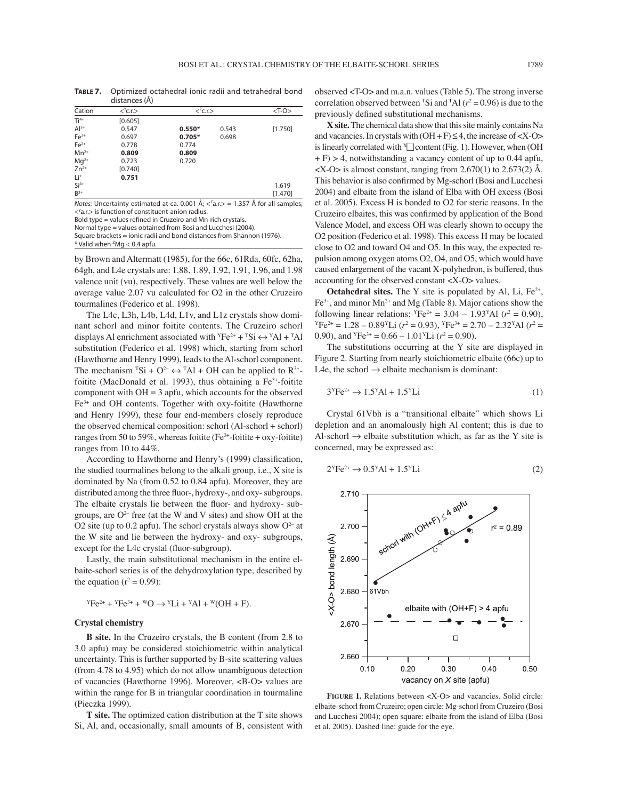**TABLE 7.** Optimized octahedral ionic radii and tetrahedral bond distances (Å)

| Cation          | $<$ C.r. $>$                                                                                                       |          | $<^2$ c.r.>    |         |  |  |
|-----------------|--------------------------------------------------------------------------------------------------------------------|----------|----------------|---------|--|--|
| $Ti4+$          | [0.605]                                                                                                            |          |                |         |  |  |
| $Al^{3+}$       | 0.547                                                                                                              | $0.550*$ | 0.543          | [1.750] |  |  |
| $Fe3+$          | 0.697                                                                                                              | $0.705*$ | 0.698          |         |  |  |
| $Fe2+$          | 0.778                                                                                                              | 0.774    |                |         |  |  |
| $Mn^{2+}$       | 0.809                                                                                                              | 0.809    |                |         |  |  |
| $Mq^{2+}$       | 0.723                                                                                                              | 0.720    |                |         |  |  |
| $Zn^{2+}$       | [0.740]                                                                                                            |          |                |         |  |  |
| Li <sup>+</sup> | 0.751                                                                                                              |          |                |         |  |  |
| $Si4+$          |                                                                                                                    |          |                | 1.619   |  |  |
| $B^{3+}$        |                                                                                                                    |          |                | [1.470] |  |  |
|                 | $\mathbf{a}$ and $\mathbf{a}$ and $\mathbf{a}$ and $\mathbf{a}$ and $\mathbf{a}$ and $\mathbf{a}$ and $\mathbf{a}$ |          | $\overline{z}$ |         |  |  |

Notes: Uncertainty estimated at ca. 0.001 Å;  $\langle \langle \cdot \rangle$  = 1.357 Å for all samples; <Y a.r.> is function of constituent-anion radius.

Bold type = values refined in Cruzeiro and Mn-rich crystals.

Normal type = values obtained from Bosi and Lucchesi (2004). Square brackets = ionic radii and bond distances from Shannon (1976).  $*$  Valid when  ${}^z\mathsf{Mg} < 0.4$  apfu.

by Brown and Altermatt (1985), for the 66c, 61Rda, 60fc, 62ha, 64gh, and L4e crystals are: 1.88, 1.89, 1.92, 1.91, 1.96, and 1.98 valence unit (vu), respectively. These values are well below the average value 2.07 vu calculated for O2 in the other Cruzeiro tourmalines (Federico et al. 1998).

The L4c, L3h, L4b, L4d, L1v, and L1z crystals show dominant schorl and minor foitite contents. The Cruzeiro schorl displays Al enrichment associated with  ${}^{Y}Fe^{2+} + {}^{T}Si \leftrightarrow {}^{Y}Al + {}^{T}Al$ substitution (Federico et al. 1998) which, starting from schorl (Hawthorne and Henry 1999), leads to the Al-schorl component. The mechanism  ${}^{T}Si + O^{2-} \leftrightarrow {}^{T}Al + OH$  can be applied to  $R^{3+}$ foitite (MacDonald et al. 1993), thus obtaining a  $Fe<sup>3+</sup>$ -foitite component with  $OH = 3$  apfu, which accounts for the observed Fe3+ and OH contents. Together with oxy-foitite (Hawthorne and Henry 1999), these four end-members closely reproduce the observed chemical composition: schorl (Al-schorl + schorl) ranges from 50 to 59%, whereas foitite (Fe<sup>3+</sup>-foitite + oxy-foitite) ranges from 10 to 44%.

According to Hawthorne and Henry's (1999) classification, the studied tourmalines belong to the alkali group, i.e., X site is dominated by Na (from 0.52 to 0.84 apfu). Moreover, they are distributed among the three fluor-, hydroxy-, and oxy- subgroups. The elbaite crystals lie between the fluor- and hydroxy- subgroups, are  $O^{2-}$  free (at the W and V sites) and show OH at the O2 site (up to 0.2 apfu). The schorl crystals always show  $O^{2-}$  at the W site and lie between the hydroxy- and oxy- subgroups, except for the L4c crystal (fluor-subgroup).

Lastly, the main substitutional mechanism in the entire elbaite-schorl series is of the dehydroxylation type, described by the equation  $(r^2 = 0.99)$ :

$$
{}^{y}Fe^{2+} + {}^{y}Fe^{3+} + {}^{w}O \rightarrow {}^{y}Li + {}^{y}Al + {}^{w}(OH + F).
$$

### **Crystal chemistry**

**B site.** In the Cruzeiro crystals, the B content (from 2.8 to 3.0 apfu) may be considered stoichiometric within analytical uncertainty. This is further supported by B-site scattering values (from 4.78 to 4.95) which do not allow unambiguous detection of vacancies (Hawthorne 1996). Moreover, <B-O> values are within the range for B in triangular coordination in tourmaline (Pieczka 1999).

**T site.** The optimized cation distribution at the T site shows Si, Al, and, occasionally, small amounts of B, consistent with observed <T-O> and m.a.n. values (Table 5). The strong inverse correlation observed between <sup>T</sup>Si and <sup>T</sup>Al ( $r^2$  = 0.96) is due to the previously defined substitutional mechanisms.

**X site.** The chemical data show that this site mainly contains Na and vacancies. In crystals with  $(OH + F) \leq 4$ , the increase of  $\langle X-O \rangle$ is linearly correlated with  $^x\Box$  content (Fig. 1). However, when (OH  $+ F$ ) > 4, notwithstanding a vacancy content of up to 0.44 apfu,  $\langle X$ -O is almost constant, ranging from 2.670(1) to 2.673(2) Å. This behavior is also confirmed by Mg-schorl (Bosi and Lucchesi 2004) and elbaite from the island of Elba with OH excess (Bosi et al. 2005). Excess H is bonded to O2 for steric reasons. In the Cruzeiro elbaites, this was confirmed by application of the Bond Valence Model, and excess OH was clearly shown to occupy the O2 position (Federico et al. 1998). This excess H may be located close to O2 and toward O4 and O5. In this way, the expected repulsion among oxygen atoms O2, O4, and O5, which would have caused enlargement of the vacant X-polyhedron, is buffered, thus accounting for the observed constant <X-O> values.

**Octahedral sites.** The Y site is populated by Al, Li,  $Fe^{2+}$ ,  $Fe<sup>3+</sup>$ , and minor Mn<sup>2+</sup> and Mg (Table 8). Major cations show the following linear relations:  $YFe^{2+} = 3.04 - 1.93 \text{ A}$  ( $r^2 = 0.90$ ), following linear relations:  $YFe^{2+} = 3.04 - 1.93 \text{ A}$  ( $r^2 = 0.90$ ),<br> $YFe^{2+} = 1.28 - 0.89 \text{ V}$ Li ( $r^2 = 0.93$ ),  $YFe^{3+} = 2.70 - 2.32 \text{ A}$  ( $r^2 = 0.93$ ) 0.90), and  ${}^{Y}Fe^{3+} = 0.66 - 1.01 {}^{Y}Li$  ( $r^2 = 0.90$ ).

The substitutions occurring at the Y site are displayed in Figure 2. Starting from nearly stoichiometric elbaite (66c) up to L4e, the schorl  $\rightarrow$  elbaite mechanism is dominant:

$$
3^{Y}Fe^{2+} \rightarrow 1.5^{Y}Al + 1.5^{Y}Li
$$
 (1)

Crystal 61Vbh is a "transitional elbaite" which shows Li depletion and an anomalously high Al content; this is due to Al-schorl  $\rightarrow$  elbaite substitution which, as far as the Y site is concerned, may be expressed as:

$$
2^{\gamma}Fe^{2+} \rightarrow 0.5^{\gamma}Al + 1.5^{\gamma}Li
$$
 (2)



**FIGURE 1.** Relations between <X-O> and vacancies. Solid circle: elbaite-schorl from Cruzeiro; open circle: Mg-schorl from Cruzeiro (Bosi and Lucchesi 2004); open square: elbaite from the island of Elba (Bosi et al. 2005). Dashed line: guide for the eye.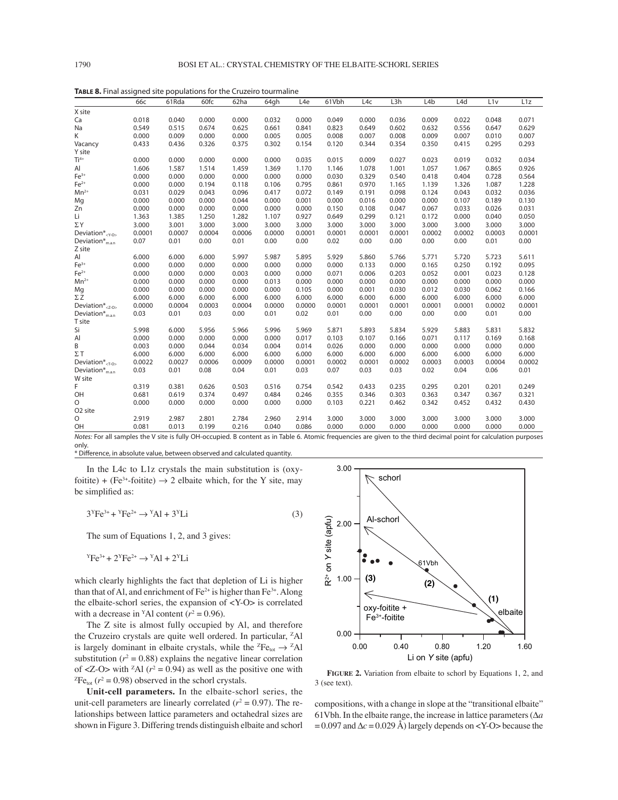|                                         | 66с    | 61Rda                                     | 60fc   | 62ha                   | 64gh                     | L <sub>4e</sub> | 61Vbh           | L4c    | L3h    | L4b    | L <sub>4</sub> d | L1v                                    | L1z    |
|-----------------------------------------|--------|-------------------------------------------|--------|------------------------|--------------------------|-----------------|-----------------|--------|--------|--------|------------------|----------------------------------------|--------|
| X site                                  |        |                                           |        |                        |                          |                 |                 |        |        |        |                  |                                        |        |
| Ca                                      | 0.018  | 0.040                                     | 0.000  | 0.000                  | 0.032                    | 0.000           | 0.049           | 0.000  | 0.036  | 0.009  | 0.022            | 0.048                                  | 0.071  |
| Na                                      | 0.549  | 0.515                                     | 0.674  | 0.625                  | 0.661                    | 0.841           | 0.823           | 0.649  | 0.602  | 0.632  | 0.556            | 0.647                                  | 0.629  |
| Κ                                       | 0.000  | 0.009                                     | 0.000  | 0.000                  | 0.005                    | 0.005           | 0.008           | 0.007  | 0.008  | 0.009  | 0.007            | 0.010                                  | 0.007  |
| Vacancy                                 | 0.433  | 0.436                                     | 0.326  | 0.375                  | 0.302                    | 0.154           | 0.120           | 0.344  | 0.354  | 0.350  | 0.415            | 0.295                                  | 0.293  |
| Y site                                  |        |                                           |        |                        |                          |                 |                 |        |        |        |                  |                                        |        |
| $Ti4+$                                  | 0.000  | 0.000                                     | 0.000  | 0.000                  | 0.000                    | 0.035           | 0.015           | 0.009  | 0.027  | 0.023  | 0.019            | 0.032                                  | 0.034  |
| Al                                      | 1.606  | 1.587                                     | 1.514  | 1.459                  | 1.369                    | 1.170           | 1.146           | 1.078  | 1.001  | 1.057  | 1.067            | 0.865                                  | 0.926  |
| $Fe3+$                                  | 0.000  | 0.000                                     | 0.000  | 0.000                  | 0.000                    | 0.000           | 0.030           | 0.329  | 0.540  | 0.418  | 0.404            | 0.728                                  | 0.564  |
| $Fe2+$                                  | 0.000  | 0.000                                     | 0.194  | 0.118                  | 0.106                    | 0.795           | 0.861           | 0.970  | 1.165  | 1.139  | 1.326            | 1.087                                  | 1.228  |
| $Mn^{2+}$                               | 0.031  | 0.029                                     | 0.043  | 0.096                  | 0.417                    | 0.072           | 0.149           | 0.191  | 0.098  | 0.124  | 0.043            | 0.032                                  | 0.036  |
| Mg                                      | 0.000  | 0.000                                     | 0.000  | 0.044                  | 0.000                    | 0.001           | 0.000           | 0.016  | 0.000  | 0.000  | 0.107            | 0.189                                  | 0.130  |
| Zn                                      | 0.000  | 0.000                                     | 0.000  | 0.000                  | 0.000                    | 0.000           | 0.150           | 0.108  | 0.047  | 0.067  | 0.033            | 0.026                                  | 0.031  |
| Li                                      | 1.363  | 1.385                                     | 1.250  | 1.282                  | 1.107                    | 0.927           | 0.649           | 0.299  | 0.121  | 0.172  | 0.000            | 0.040                                  | 0.050  |
| $\Sigma$ Y                              | 3.000  | 3.001                                     | 3.000  | 3.000                  | 3.000                    | 3.000           | 3.000           | 3.000  | 3.000  | 3.000  | 3.000            | 3.000                                  | 3.000  |
| Deviation $*_}$                         | 0.0001 | 0.0007                                    | 0.0004 | 0.0006                 | 0.0000                   | 0.0001          | 0.0001          | 0.0001 | 0.0001 | 0.0002 | 0.0002           | 0.0003                                 | 0.0001 |
| Deviation <sup>*</sup> <sub>m.a.n</sub> | 0.07   | 0.01                                      | 0.00   | 0.01                   | 0.00                     | 0.00            | 0.02            | 0.00   | 0.00   | 0.00   | 0.00             | 0.01                                   | 0.00   |
| Z site                                  |        |                                           |        |                        |                          |                 |                 |        |        |        |                  |                                        |        |
| Al                                      | 6.000  | 6.000                                     | 6.000  | 5.997                  | 5.987                    | 5.895           | 5.929           | 5.860  | 5.766  | 5.771  | 5.720            | 5.723                                  | 5.611  |
| $Fe3+$                                  | 0.000  | 0.000                                     | 0.000  | 0.000                  | 0.000                    | 0.000           | 0.000           | 0.133  | 0.000  | 0.165  | 0.250            | 0.192                                  | 0.095  |
| $Fe2+$                                  | 0.000  | 0.000                                     | 0.000  | 0.003                  | 0.000                    | 0.000           | 0.071           | 0.006  | 0.203  | 0.052  | 0.001            | 0.023                                  | 0.128  |
| $Mn^{2+}$                               | 0.000  | 0.000                                     | 0.000  | 0.000                  | 0.013                    | 0.000           | 0.000           | 0.000  | 0.000  | 0.000  | 0.000            | 0.000                                  | 0.000  |
| Mg                                      | 0.000  | 0.000                                     | 0.000  | 0.000                  | 0.000                    | 0.105           | 0.000           | 0.001  | 0.030  | 0.012  | 0.030            | 0.062                                  | 0.166  |
| $\Sigma Z$                              | 6.000  | 6.000                                     | 6.000  | 6.000                  | 6.000                    | 6.000           | 6.000           | 6.000  | 6.000  | 6.000  | 6.000            | 6.000                                  | 6.000  |
| Deviation $*_{\langle Z-O\rangle}$      | 0.0000 | 0.0004                                    | 0.0003 | 0.0004                 | 0.0000                   | 0.0000          | 0.0001          | 0.0001 | 0.0001 | 0.0001 | 0.0001           | 0.0002                                 | 0.0001 |
| Deviation $*_{\text{man}}$<br>T site    | 0.03   | 0.01                                      | 0.03   | 0.00                   | 0.01                     | 0.02            | 0.01            | 0.00   | 0.00   | 0.00   | 0.00             | 0.01                                   | 0.00   |
| Si                                      | 5.998  | 6.000                                     | 5.956  | 5.966                  | 5.996                    | 5.969           | 5.871           | 5.893  | 5.834  | 5.929  | 5.883            | 5.831                                  | 5.832  |
| Al                                      | 0.000  | 0.000                                     | 0.000  | 0.000                  | 0.000                    | 0.017           | 0.103           | 0.107  | 0.166  | 0.071  | 0.117            | 0.169                                  | 0.168  |
| B                                       | 0.003  | 0.000                                     | 0.044  | 0.034                  | 0.004                    | 0.014           | 0.026           | 0.000  | 0.000  | 0.000  | 0.000            | 0.000                                  | 0.000  |
| $\Sigma$ T                              | 6.000  | 6.000                                     | 6.000  | 6.000                  | 6.000                    | 6.000           | 6.000           | 6.000  | 6.000  | 6.000  | 6.000            | 6.000                                  | 6.000  |
| Deviation $*_$ $\tau$ -0>               | 0.0022 | 0.0027                                    | 0.0006 | 0.0009                 | 0.0000                   | 0.0001          | 0.0002          | 0.0001 | 0.0002 | 0.0003 | 0.0003           | 0.0004                                 | 0.0002 |
| Deviation $*_{m.a.n}$                   | 0.03   | 0.01                                      | 0.08   | 0.04                   | 0.01                     | 0.03            | 0.07            | 0.03   | 0.03   | 0.02   | 0.04             | 0.06                                   | 0.01   |
| W site                                  |        |                                           |        |                        |                          |                 |                 |        |        |        |                  |                                        |        |
| F                                       | 0.319  | 0.381                                     | 0.626  | 0.503                  | 0.516                    | 0.754           | 0.542           | 0.433  | 0.235  | 0.295  | 0.201            | 0.201                                  | 0.249  |
| OH                                      | 0.681  | 0.619                                     | 0.374  | 0.497                  | 0.484                    | 0.246           | 0.355           | 0.346  | 0.303  | 0.363  | 0.347            | 0.367                                  | 0.321  |
| O                                       | 0.000  | 0.000                                     | 0.000  | 0.000                  | 0.000                    | 0.000           | 0.103           | 0.221  | 0.462  | 0.342  | 0.452            | 0.432                                  | 0.430  |
| O <sub>2</sub> site                     |        |                                           |        |                        |                          |                 |                 |        |        |        |                  |                                        |        |
| O                                       | 2.919  | 2.987                                     | 2.801  | 2.784                  | 2.960                    | 2.914           | 3.000           | 3.000  | 3.000  | 3.000  | 3.000            | 3.000                                  | 3.000  |
| OH                                      | 0.081  | 0.013                                     | 0.199  | 0.216                  | 0.040                    | 0.086           | 0.000           | 0.000  | 0.000  | 0.000  | 0.000            | 0.000                                  | 0.000  |
| .<br>$\overline{a}$                     |        | $1.1$ $1.1$ $1.1$ $1.1$ $1.1$ $1.1$ $1.1$ |        | $\cdot$ $\cdot$ $\sim$ | $\cdot$ $ \cdot$ $\cdot$ |                 | $\cdot$ $\cdot$ |        |        |        |                  | $\mathbf{1}$ $\mathbf{1}$ $\mathbf{1}$ |        |

**TABLE 8.** Final assigned site populations for the Cruzeiro tourmaline

Notes: For all samples the V site is fully OH-occupied. B content as in Table 6. Atomic frequencies are given to the third decimal point for calculation purposes only.

\* Difference, in absolute value, between observed and calculated quantity.

In the L4c to L1z crystals the main substitution is (oxyfoitite) + (Fe<sup>3+</sup>-foitite)  $\rightarrow$  2 elbaite which, for the Y site, may be simplified as:

$$
3yFe3+ + yFe2+ \rightarrow yAl + 3yLi
$$
 (3)

The sum of Equations 1, 2, and 3 gives:

 $YFe^{3+} + 2YFe^{2+} \rightarrow YAl + 2YLi$ 

which clearly highlights the fact that depletion of Li is higher than that of Al, and enrichment of  $Fe^{2+}$  is higher than  $Fe^{3+}$ . Along the elbaite-schorl series, the expansion of <Y-O> is correlated with a decrease in <sup>Y</sup>Al content ( $r^2 = 0.96$ ).

The Z site is almost fully occupied by Al, and therefore the Cruzeiro crystals are quite well ordered. In particular, <sup>z</sup>Al is largely dominant in elbaite crystals, while the <sup> $z_{\text{Fe}_{tot}} \rightarrow z_{\text{Al}}$ </sup> substitution ( $r^2 = 0.88$ ) explains the negative linear correlation of <Z-O> with <sup>z</sup>Al ( $r^2 = 0.94$ ) as well as the positive one with  ${}^2Fe_{tot}$  ( $r^2 = 0.98$ ) observed in the schorl crystals. <sup>Z</sup>Fe<sub>tot</sub> ( $r^2$  = 0.98) observed in the schorl crystals.

**Unit-cell parameters.** In the elbaite-schorl series, the unit-cell parameters are linearly correlated  $(r^2 = 0.97)$ . The relationships between lattice parameters and octahedral sizes are shown in Figure 3. Differing trends distinguish elbaite and schorl



**FIGURE 2.** Variation from elbaite to schorl by Equations 1, 2, and 3 (see text).

compositions, with a change in slope at the "transitional elbaite" 61Vbh. In the elbaite range, the increase in lattice parameters (Δ*a*  $= 0.097$  and  $\Delta c = 0.029$  Å) largely depends on <Y-O> because the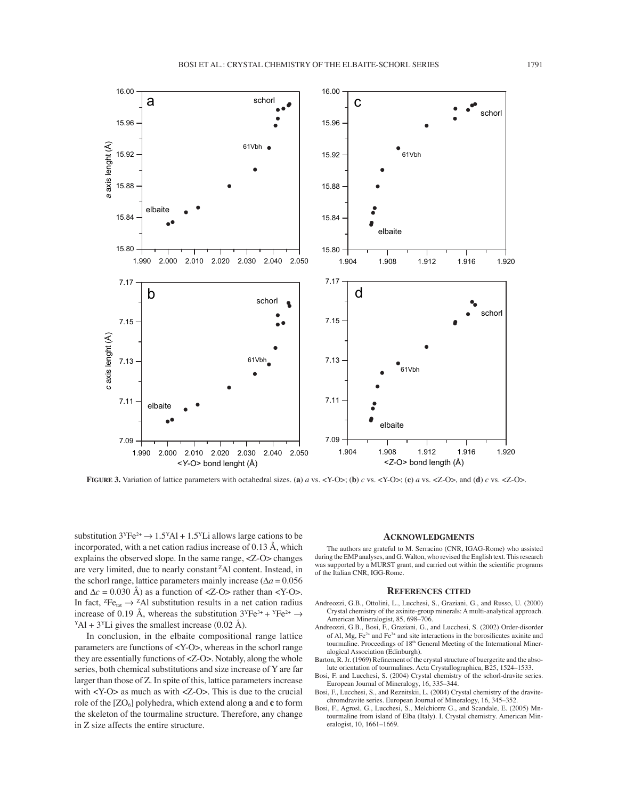

**FIGURE 3.** Variation of lattice parameters with octahedral sizes. (**a**) *a* vs. <Y-O>; (**b**) *c* vs. <Y-O>; (**c**) *a* vs. <Z-O>, and (**d**) *c* vs. <Z-O>.

substitution  $3^{y}Fe^{2+} \rightarrow 1.5^{y}Al + 1.5^{y}Li$  allows large cations to be incorporated, with a net cation radius increase of 0.13 Å, which explains the observed slope. In the same range, <Z-O> changes are very limited, due to nearly constant<sup> $z$ </sup>Al content. Instead, in the schorl range, lattice parameters mainly increase ( $\Delta a = 0.056$ ) and  $\Delta c = 0.030$  Å) as a function of <Z-O> rather than <Y-O>. In fact, <sup>Z</sup>Fe<sub>tot</sub>  $\rightarrow$  <sup>Z</sup>Al substitution results in a net cation radius increase of 0.19 Å, whereas the substitution  $3^{y}Fe^{3+} + {}^{y}Fe^{2+} \rightarrow$  $Y\text{Al} + 3Y\text{Li}$  gives the smallest increase (0.02 Å).

In conclusion, in the elbaite compositional range lattice parameters are functions of <Y-O>, whereas in the schorl range they are essentially functions of <Z-O>. Notably, along the whole series, both chemical substitutions and size increase of Y are far larger than those of Z. In spite of this, lattice parameters increase with <Y-O> as much as with <Z-O>. This is due to the crucial role of the [ZO6] polyhedra, which extend along **a** and **c** to form the skeleton of the tourmaline structure. Therefore, any change in Z size affects the entire structure.

#### **ACKNOWLEDGMENTS**

The authors are grateful to M. Serracino (CNR, IGAG-Rome) who assisted during the EMP analyses, and G. Walton, who revised the English text. This research was supported by a MURST grant, and carried out within the scientific programs of the Italian CNR, IGG-Rome.

#### **REFERENCES CITED**

- Andreozzi, G.B., Ottolini, L., Lucchesi, S., Graziani, G., and Russo, U. (2000) Crystal chemistry of the axinite-group minerals: A multi-analytical approach. American Mineralogist, 85, 698-706.
- Andreozzi, G.B., Bosi, F., Graziani, G., and Lucchesi, S. (2002) Order-disorder of Al,  $Mg$ ,  $Fe^{2+}$  and  $Fe^{3+}$  and site interactions in the borosilicates axinite and tourmaline. Proceedings of 18<sup>th</sup> General Meeting of the International Mineralogical Association (Edinburgh).
- Barton, R. Jr. (1969) Refinement of the crystal structure of buergerite and the absolute orientation of tourmalines. Acta Crystallographica, B25, 1524-1533.
- Bosi, F. and Lucchesi, S. (2004) Crystal chemistry of the schorl-dravite series. European Journal of Mineralogy, 16, 335-344.
- Bosi, F., Lucchesi, S., and Reznitskii, L. (2004) Crystal chemistry of the dravitechromdravite series. European Journal of Mineralogy, 16, 345-352.
- Bosi, F., Agrosì, G., Lucchesi, S., Melchiorre G., and Scandale, E. (2005) Mntourmaline from island of Elba (Italy). I. Crystal chemistry. American Mineralogist, 10, 1661-1669.